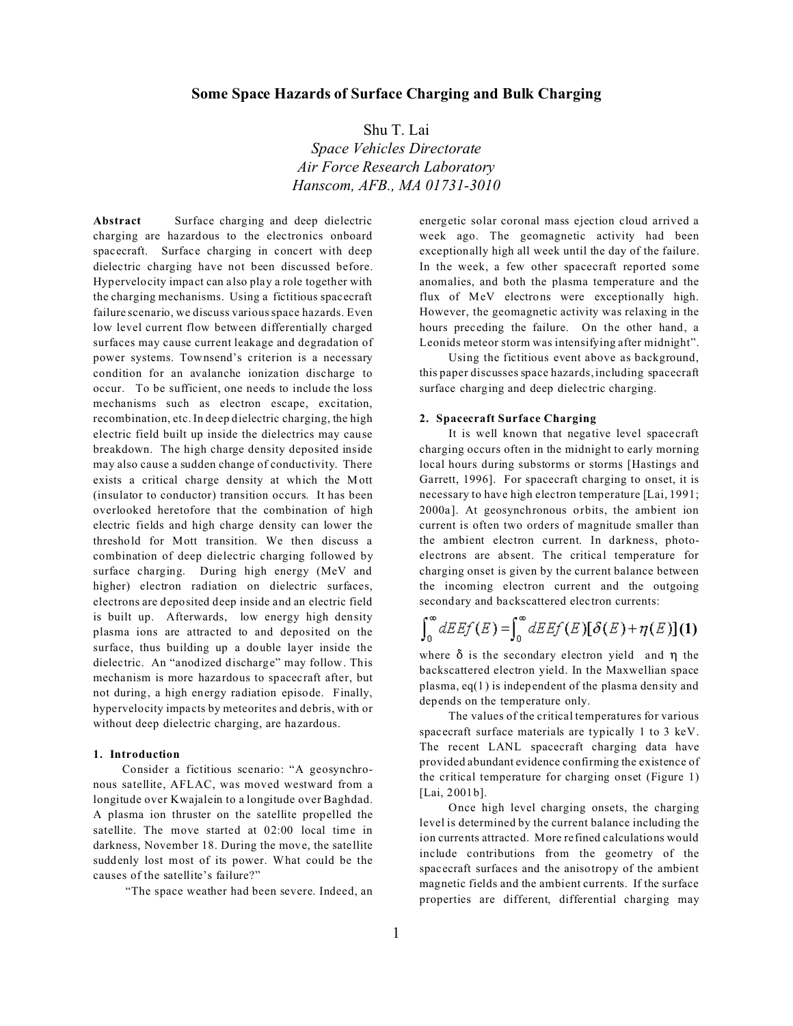# **Some Space Hazards of Surface Charging and Bulk Charging**

Shu T. Lai

*Space Vehicles Directorate Air Force Research Laboratory Hanscom, AFB., MA 01731-3010*

**Abstract** Surface charging and deep dielectric charging are hazardous to the electronics onboard spacecraft. Surface charging in concert with deep dielectric charging have not been discussed before. Hypervelocity impact can also play a role together with the charging mechanisms. Using a fictitious spacecraft failure scenario, we discuss various space hazards. Even low level current flow between differentially charged surfaces may cause current leakage and degradation of power systems. Townsend's criterion is a necessary condition for an avalanche ionization discharge to occur. To be sufficient, one needs to include the loss mechanisms such as electron escape, excitation, recombination, etc. In deep dielectric charging, the high electric field built up inside the dielectrics may cause breakdown. The high charge density deposited inside may also cause a sudden change of conductivity. There exists a critical charge density at which the Mott (insulator to conductor) transition occurs. It has been overlooked heretofore that the combination of high electric fields and high charge density can lower the threshold for Mott transition. We then discuss a combination of deep dielectric charging followed by surface charging. During high energy (MeV and higher) electron radiation on dielectric surfaces, electrons are deposited deep inside and an electric field is built up. Afterwards, low energy high density plasma ions are attracted to and deposited on the surface, thus building up a double layer inside the dielectric. An "anodized discharge" may follow. This mechanism is more hazardous to spacecraft after, but not during, a high energy radiation episode. Finally, hypervelocity impacts by meteorites and debris, with or without deep dielectric charging, are hazardous.

# **1. Introduction**

Consider a fictitious scenario: "A geosynchronous satellite, AFLAC, was moved westward from a longitude over Kwajalein to a longitude over Baghdad. A plasma ion thruster on the satellite propelled the satellite. The move started at 02:00 local time in darkness, November 18. During the move, the satellite suddenly lost most of its power. What could be the causes of the satellite's failure?"

"The space weather had been severe. Indeed, an

energetic solar coronal mass ejection cloud arrived a week ago. The geomagnetic activity had been exceptionally high all week until the day of the failure. In the week, a few other spacecraft reported some anomalies, and both the plasma temperature and the flux of MeV electrons were exceptionally high. However, the geomagnetic activity was relaxing in the hours preceding the failure. On the other hand, a Leonids meteor storm was intensifying after midnight".

Using the fictitious event above as background, this paper discusses space hazards, including spacecraft surface charging and deep dielectric charging.

## **2. Spacecraft Surface Charging**

It is well known that negative level spacecraft charging occurs often in the midnight to early morning local hours during substorms or storms [Hastings and Garrett, 1996]. For spacecraft charging to onset, it is necessary to have high electron temperature [Lai, 1991; 2000a]. At geosynchronous orbits, the ambient ion current is often two orders of magnitude smaller than the ambient electron current. In darkness, photoelectrons are absent. The critical temperature for charging onset is given by the current balance between the incoming electron current and the outgoing secondary and backscattered electron currents:

$$
\int_0^\infty dE E f(E) = \int_0^\infty dE E f(E) [\delta(E) + \eta(E)](1)
$$

where  $\delta$  is the secondary electron yield and  $\eta$  the backscattered electron yield. In the Maxwellian space plasma, eq(1) is independent of the plasma density and depends on the temperature only.

The values of the critical temperatures for various spacecraft surface materials are typically 1 to 3 keV. The recent LANL spacecraft charging data have provided abundant evidence confirming the existence of the critical temperature for charging onset (Figure 1) [Lai, 2001b].

Once high level charging onsets, the charging level is determined by the current balance including the ion currents attracted. More refined calculations would include contributions from the geometry of the spacecraft surfaces and the anisotropy of the ambient magnetic fields and the ambient currents. If the surface properties are different, differential charging may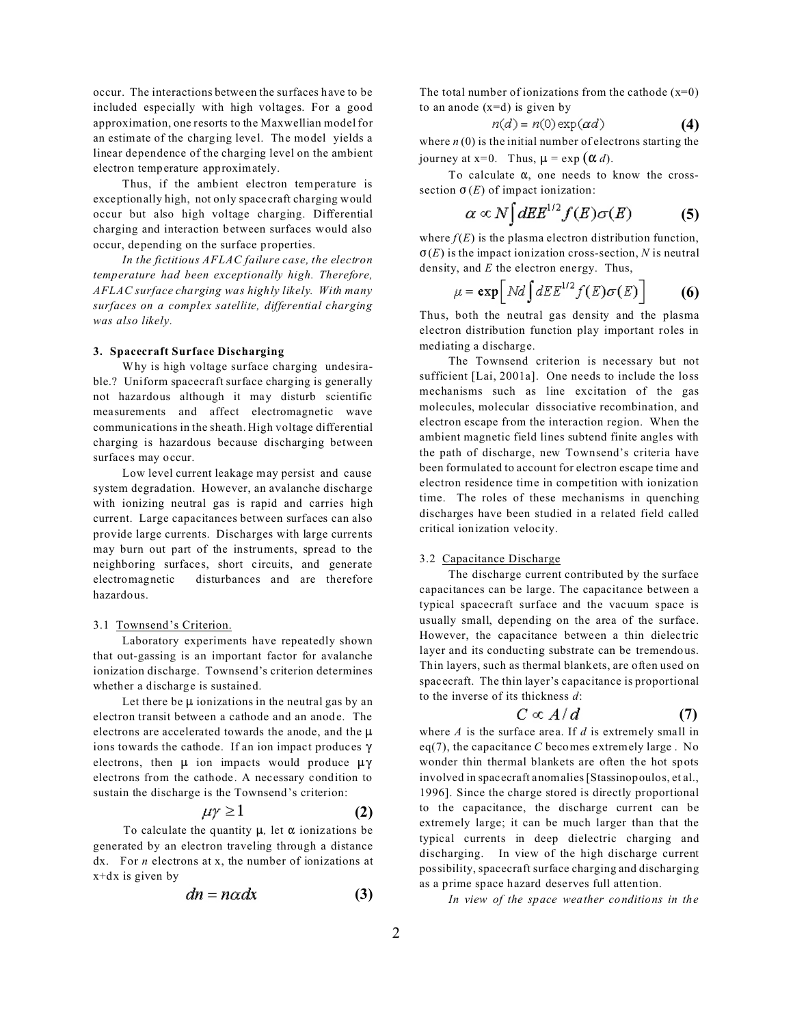occur. The interactions between the surfaces have to be included especially with high voltages. For a good approximation, one resorts to the Maxwellian model for an estimate of the charging level. The model yields a linear dependence of the charging level on the ambient electron temperature approximately.

Thus, if the ambient electron temperature is exceptionally high, not only spacecraft charging would occur but also high voltage charging. Differential charging and interaction between surfaces would also occur, depending on the surface properties.

*In the fictitious AFLAC failure case, the electron temperature had been exceptionally high. Therefore, AFLAC surface charging was highly likely. With many surfaces on a complex satellite, differential charging was also likely.*

#### **3. Spacecraft Surface Discharging**

Why is high voltage surface charging undesirable.? Uniform spacecraft surface charging is generally not hazardous although it may disturb scientific measurements and affect electromagnetic wave communications in the sheath. High voltage differential charging is hazardous because discharging between surfaces may occur.

Low level current leakage may persist and cause system degradation. However, an avalanche discharge with ionizing neutral gas is rapid and carries high current. Large capacitances between surfaces can also provide large currents. Discharges with large currents may burn out part of the instruments, spread to the neighboring surfaces, short circuits, and generate electromagnetic disturbances and are therefore hazardous.

# 3.1 Townsend's Criterion.

Laboratory experiments have repeatedly shown that out-gassing is an important factor for avalanche ionization discharge. Townsend's criterion determines whether a discharge is sustained.

Let there be  $\mu$  ionizations in the neutral gas by an electron transit between a cathode and an anod e. The electrons are accelerated towards the anode, and the  $\mu$ ions towards the cathode. If an ion impact produces  $\gamma$ electrons, then  $\mu$  ion impacts would produce  $\mu\gamma$ electrons from the cathode. A necessary condition to sustain the discharge is the Townsend's criterion:

$$
\mu\gamma\geq 1\tag{2}
$$

To calculate the quantity  $\mu$ , let  $\alpha$  ionizations be generated by an electron traveling through a distance dx. For *n* electrons at x, the number of ionizations at  $x+dx$  is given by

$$
dn = n\alpha dx \tag{3}
$$

The total number of ionizations from the cathode  $(x=0)$ to an anode  $(x=d)$  is given by

$$
n(d) = n(0) \exp(\alpha d)
$$
 (4)

where  $n(0)$  is the initial number of electrons starting the journey at x=0. Thus,  $\mu = \exp(\alpha d)$ .

To calculate  $\alpha$ , one needs to know the crosssection  $\sigma(E)$  of impact ionization:

$$
\alpha \propto N \int dE E^{1/2} f(E) \sigma(E) \tag{5}
$$

where  $f(E)$  is the plasma electron distribution function,  $\sigma(E)$  is the impact ionization cross-section, *N* is neutral density, and *E* the electron energy. Thus,

$$
\mu = \exp\left[Nd\int dE E^{1/2} f(E)\sigma(E)\right]
$$
 (6)

Thus, both the neutral gas density and the plasma electron distribution function play important roles in mediating a discharge.

The Townsend criterion is necessary but not sufficient [Lai, 2001a]. One needs to include the loss mechanisms such as line excitation of the gas molecules, molecular dissociative recombination, and electron escape from the interaction region. When the ambient magnetic field lines subtend finite angles with the path of discharge, new Townsend's criteria have been formulated to account for electron escape time and electron residence time in competition with ionization time. The roles of these mechanisms in quenching discharges have been studied in a related field called critical ionization velocity.

### 3.2 Capacitance Discharge

The discharge current contributed by the surface capacitances can be large. The capacitance between a typical spacecraft surface and the vacuum space is usually small, depending on the area of the surface. However, the capacitance between a thin dielectric layer and its conducting substrate can be tremendous. Thin layers, such as thermal blankets, are often used on spacecraft. The thin layer's capacitance is proportional to the inverse of its thickness *d*:

$$
C \propto A/d \tag{7}
$$

where *A* is the surface area. If *d* is extremely small in eq(7), the capacitance *C* becomes extremely large . No wonder thin thermal blankets are often the hot spots involved in spacecraft anomalies[Stassinopoulos, et al., 1996]. Since the charge stored is directly proportional to the capacitance, the discharge current can be extremely large; it can be much larger than that the typical currents in deep dielectric charging and discharging. In view of the high discharge current possibility, spacecraft surface charging and discharging as a prime space hazard deserves full attention.

*In view of the space weather conditions in the*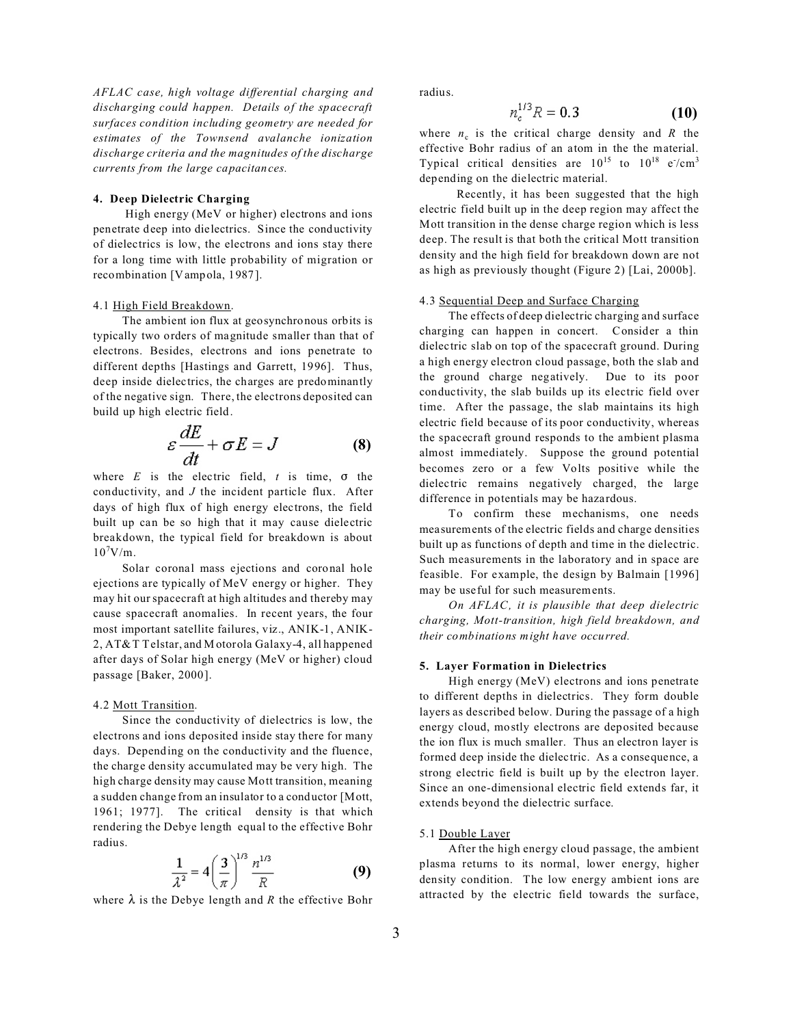*AFLAC case, high voltage differential charging and discharging could happen. Details of the spacecraft surfaces condition including geometry are needed for estimates of the Townsend avalanche ionization discharge criteria and the magnitudes of the discharge currents from the large capacitances.*

# **4. Deep Dielectric Charging**

 High energy (MeV or higher) electrons and ions penetrate deep into dielectrics. Since the conductivity of dielectrics is low, the electrons and ions stay there for a long time with little probability of migration or recombination [Vampola, 1987].

### 4.1 High Field Breakdown.

The ambient ion flux at geosynchronous orbits is typically two orders of magnitude smaller than that of electrons. Besides, electrons and ions penetrate to different depths [Hastings and Garrett, 1996]. Thus, deep inside dielectrics, the charges are predominantly of the negative sign. There, the electrons deposited can build up high electric field.

$$
\varepsilon \frac{dE}{dt} + \sigma E = J \tag{8}
$$

where  $E$  is the electric field,  $t$  is time,  $\sigma$  the conductivity, and *J* the incident particle flux. After days of high flux of high energy electrons, the field built up can be so high that it may cause dielectric breakdown, the typical field for breakdown is about  $10^{7}$ V/m.

Solar coronal mass ejections and coronal hole ejections are typically of MeV energy or higher. They may hit our spacecraft at high altitudes and thereby may cause spacecraft anomalies. In recent years, the four most important satellite failures, viz., ANIK-1, ANIK-2, AT&T Telstar, and Motorola Galaxy-4, all happened after days of Solar high energy (MeV or higher) cloud passage [Baker, 2000].

#### 4.2 Mott Transition.

Since the conductivity of dielectrics is low, the electrons and ions deposited inside stay there for many days. Depending on the conductivity and the fluence, the charge density accumulated may be very high. The high charge density may cause Mott transition, meaning a sudden change from an insulator to a conductor [Mott, 1961; 1977]. The critical density is that which rendering the Debye length equal to the effective Bohr radius.

$$
\frac{1}{\lambda^2} = 4\left(\frac{3}{\pi}\right)^{1/3} \frac{n^{1/3}}{R} \tag{9}
$$

where  $\lambda$  is the Debye length and *R* the effective Bohr

radius.

$$
n_c^{1/3}R = 0.3 \tag{10}
$$

where  $n_c$  is the critical charge density and  $R$  the effective Bohr radius of an atom in the the material. Typical critical densities are  $10^{15}$  to  $10^{18}$  e/cm<sup>3</sup> depending on the dielectric material.

 Recently, it has been suggested that the high electric field built up in the deep region may affect the Mott transition in the dense charge region which is less deep. The result is that both the critical Mott transition density and the high field for breakdown down are not as high as previously thought (Figure 2) [Lai, 2000b].

### 4.3 Sequential Deep and Surface Charging

The effects of deep dielectric charging and surface charging can happen in concert. Consider a thin dielectric slab on top of the spacecraft ground. During a high energy electron cloud passage, both the slab and the ground charge negatively. Due to its poor conductivity, the slab builds up its electric field over time. After the passage, the slab maintains its high electric field because of its poor conductivity, whereas the spacecraft ground responds to the ambient plasma almost immediately. Suppose the ground potential becomes zero or a few Volts positive while the dielectric remains negatively charged, the large difference in potentials may be hazardous.

To confirm these mechanisms, one needs measurements of the electric fields and charge densities built up as functions of depth and time in the dielectric. Such measurements in the laboratory and in space are feasible. For example, the design by Balmain [1996] may be useful for such measurements.

*On AFLAC, it is plausible that deep dielectric charging, Mott-transition, high field breakdown, and their combinations might have occurred.* 

#### **5. Layer Formation in Dielectrics**

High energy (MeV) electrons and ions penetrate to different depths in dielectrics. They form double layers as described below. During the passage of a high energy cloud, mostly electrons are deposited because the ion flux is much smaller. Thus an electron layer is formed deep inside the dielectric. As a consequence, a strong electric field is built up by the electron layer. Since an one-dimensional electric field extends far, it extends beyond the dielectric surface.

#### 5.1 Double Layer

After the high energy cloud passage, the ambient plasma returns to its normal, lower energy, higher density condition. The low energy ambient ions are attracted by the electric field towards the surface,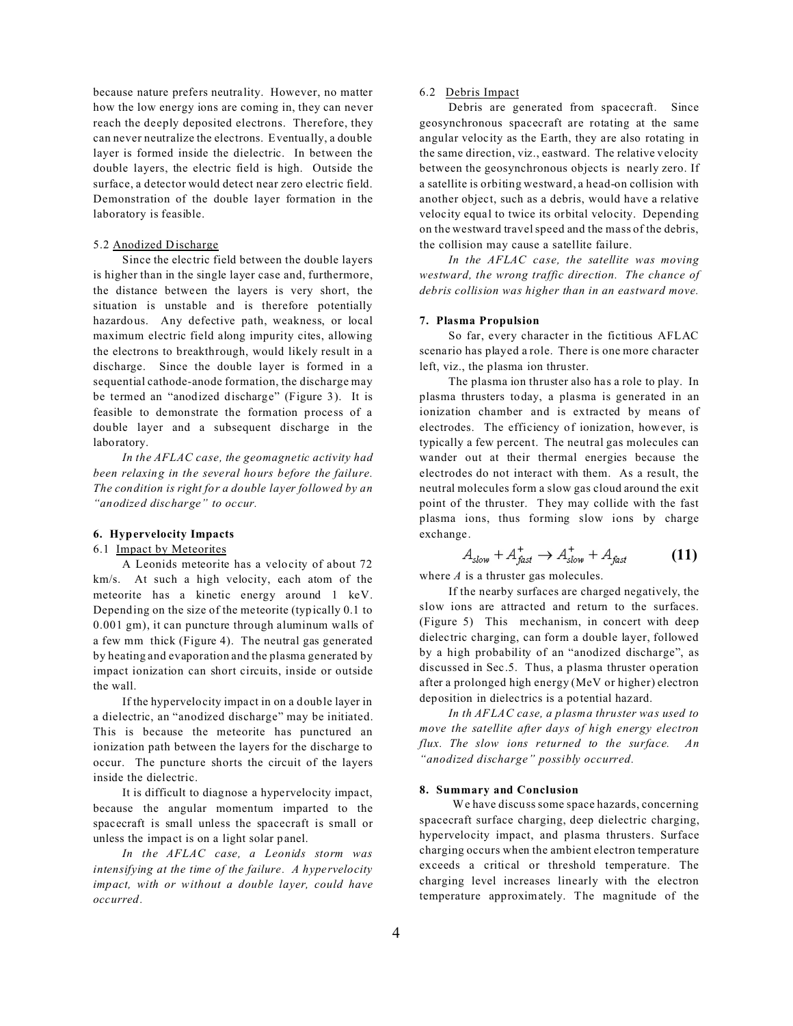because nature prefers neutrality. However, no matter how the low energy ions are coming in, they can never reach the deeply deposited electrons. Therefore, they can never neutralize the electrons. Eventually, a double layer is formed inside the dielectric. In between the double layers, the electric field is high. Outside the surface, a detector would detect near zero electric field. Demonstration of the double layer formation in the laboratory is feasible.

#### 5.2 Anodized Discharge

Since the electric field between the double layers is higher than in the single layer case and, furthermore, the distance between the layers is very short, the situation is unstable and is therefore potentially hazardous. Any defective path, weakness, or local maximum electric field along impurity cites, allowing the electrons to breakthrough, would likely result in a discharge. Since the double layer is formed in a sequential cathode-anode formation, the discharge may be termed an "anodized discharge" (Figure 3). It is feasible to demonstrate the formation process of a double layer and a subsequent discharge in the laboratory.

*In the AFLAC case, the geomagnetic activity had been relaxing in the several hours before the failure. The condition is right for a double layer followed by an "anodized discharge" to occur.* 

### **6. Hypervelocity Impacts**

### 6.1 Impact by Meteorites

A Leonids meteorite has a velocity of about 72 km/s. At such a high velocity, each atom of the meteorite has a kinetic energy around 1 keV. Depending on the size of the meteorite (typically 0.1 to 0.001 gm), it can puncture through aluminum walls of a few mm thick (Figure 4). The neutral gas generated by heating and evaporation and the plasma generated by impact ionization can short circuits, inside or outside the wall.

If the hypervelocity impact in on a double layer in a dielectric, an "anodized discharge" may be initiated. This is because the meteorite has punctured an ionization path between the layers for the discharge to occur. The puncture shorts the circuit of the layers inside the dielectric.

It is difficult to diagnose a hypervelocity impact, because the angular momentum imparted to the spacecraft is small unless the spacecraft is small or unless the impact is on a light solar panel.

*In the AFLAC case, a Leonids storm was intensifying at the time of the failure. A hypervelocity impact, with or without a double layer, could have occurred.* 

# 6.2 Debris Impact

Debris are generated from spacecraft. Since geosynchronous spacecraft are rotating at the same angular velocity as the Earth, they are also rotating in the same direction, viz., eastward. The relative velocity between the geosynchronous objects is nearly zero. If a satellite is orbiting westward, a head-on collision with another object, such as a debris, would have a relative velocity equal to twice its orbital velocity. Depending on the westward travel speed and the mass of the debris, the collision may cause a satellite failure.

*In the AFLAC case, the satellite was moving westward, the wrong traffic direction. The chance of debris collision was higher than in an eastward move.*

#### **7. Plasma Propulsion**

So far, every character in the fictitious AFLAC scenario has played a role. There is one more character left, viz., the plasma ion thruster.

The plasma ion thruster also has a role to play. In plasma thrusters today, a plasma is generated in an ionization chamber and is extracted by means of electrodes. The efficiency of ionization, however, is typically a few percent. The neutral gas molecules can wander out at their thermal energies because the electrodes do not interact with them. As a result, the neutral molecules form a slow gas cloud around the exit point of the thruster. They may collide with the fast plasma ions, thus forming slow ions by charge exchange.

$$
A_{slow} + A_{fast}^+ \rightarrow A_{slow}^+ + A_{fast} \tag{11}
$$

where *A* is a thruster gas molecules.

If the nearby surfaces are charged negatively, the slow ions are attracted and return to the surfaces. (Figure 5) This mechanism, in concert with deep dielectric charging, can form a double layer, followed by a high probability of an "anodized discharge", as discussed in Sec.5. Thus, a plasma thruster operation after a prolonged high energy (MeV or higher) electron deposition in dielectrics is a potential hazard.

*In th AFLAC case, a plasma thruster was used to move the satellite after days of high energy electron flux. The slow ions returned to the surface. An "anodized discharge" possibly occurred.*

### **8. Summary and Conclusion**

 We have discuss some space hazards, concerning spacecraft surface charging, deep dielectric charging, hypervelocity impact, and plasma thrusters. Surface charging occurs when the ambient electron temperature exceeds a critical or threshold temperature. The charging level increases linearly with the electron temperature approximately. The magnitude of the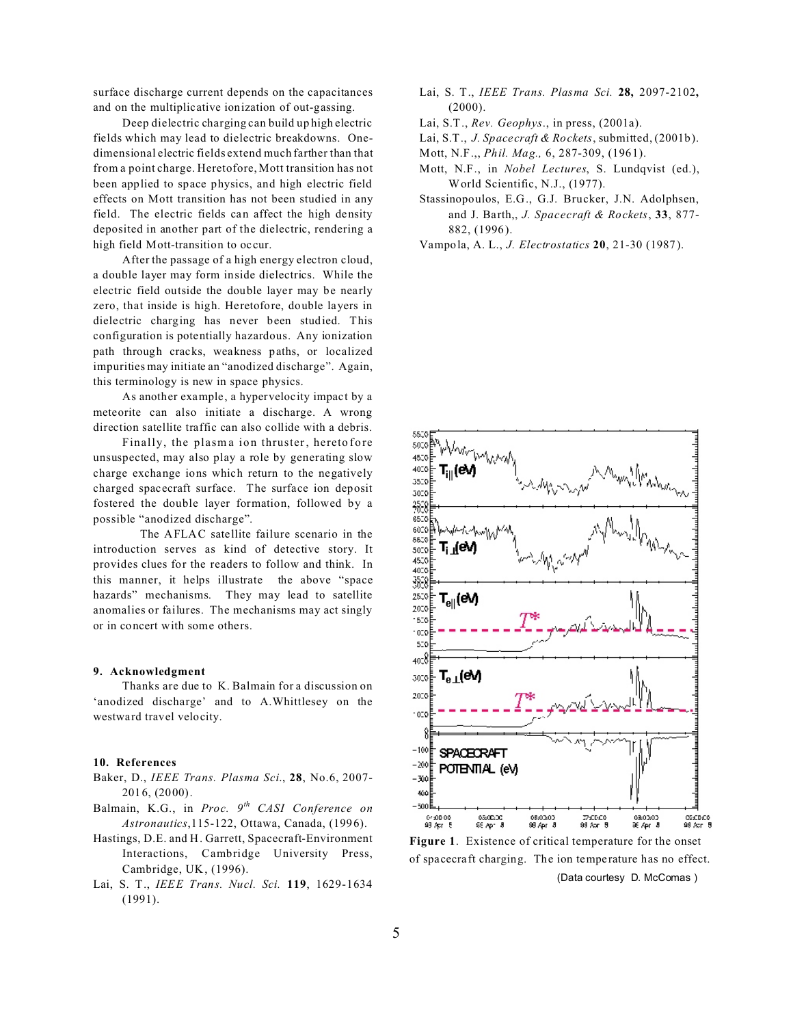surface discharge current depends on the capacitances and on the multiplicative ionization of out-gassing.

Deep dielectric charging can build up high electric fields which may lead to dielectric breakdowns. Onedimensional electric fields extend much farther than that from a point charge. Heretofore, Mott transition has not been applied to space physics, and high electric field effects on Mott transition has not been studied in any field. The electric fields can affect the high density deposited in another part of the dielectric, rendering a high field Mott-transition to occur.

After the passage of a high energy electron cloud, a double layer may form inside dielectrics. While the electric field outside the double layer may be nearly zero, that inside is high. Heretofore, double layers in dielectric charging has never been studied. This configuration is potentially hazardous. Any ionization path through cracks, weakness paths, or localized impurities may initiate an "anodized discharge". Again, this terminology is new in space physics.

As another example, a hypervelocity impact by a meteorite can also initiate a discharge. A wrong direction satellite traffic can also collide with a debris.

Finally, the plasma ion thruster, heretofore unsuspected, may also play a role by generating slow charge exchange ions which return to the negatively charged spacecraft surface. The surface ion deposit fostered the double layer formation, followed by a possible "anodized discharge".

 The AFLAC satellite failure scenario in the introduction serves as kind of detective story. It provides clues for the readers to follow and think. In this manner, it helps illustrate the above "space hazards" mechanisms. They may lead to satellite anomalies or failures. The mechanisms may act singly or in concert with some others.

# **9. Acknowledgment**

Thanks are due to K. Balmain for a discussion on 'anodized discharge' and to A.Whittlesey on the westward travel velocity.

### **10. References**

- Baker, D., *IEEE Trans. Plasma Sci*., **28**, No.6, 2007- 2016, (2000).
- Balmain, K.G., in *Proc. 9th CASI Conference on Astronautics*,115-122, Ottawa, Canada, (1996).
- Hastings, D.E. and H. Garrett, Spacecraft-Environment Interactions, Cambridge University Press, Cambridge, UK, (1996).
- Lai, S. T., *IEEE Trans. Nucl. Sci.* **119**, 1629-1634 (1991).
- Lai, S. T., *IEEE Trans. Plasma Sci.* **28,** 2097-2102**,** (2000).
- Lai, S.T., *Rev. Geophys*., in press, (2001a).
- Lai, S.T., *J. Spacecraft & Rockets*, submitted, (2001b).
- Mott, N.F.,, *Phil. Mag.,* 6, 287-309, (1961).
- Mott, N.F., in *Nobel Lectures*, S. Lundqvist (ed.), World Scientific, N.J., (1977).
- Stassinopoulos, E.G., G.J. Brucker, J.N. Adolphsen, and J. Barth,, *J. Spacecraft & Rockets*, **33**, 877- 882, (1996).
- Vampola, A. L., *J. Electrostatics* **20**, 21-30 (1987).



**Figure 1**. Existence of critical temperature for the onset of spacecraft charging. The ion temperature has no effect. (Data courtesy D. McComas )